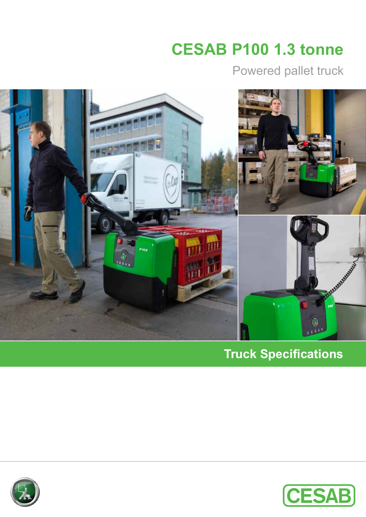## **CESAB P100 1.3 tonne**

Powered pallet truck



## **Truck Specifications**



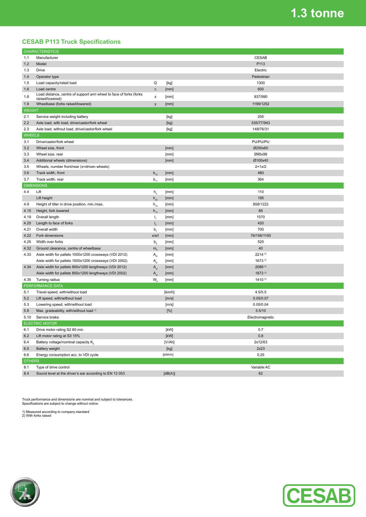## **CESAB P113 Truck Specifications**

| <b>CHARACTERISTICS</b> |                                                                    |                  |                                                                                                                                                                                                                                                                                                                                                                                                                                                                                                                                                                                                                                                                    |                 |
|------------------------|--------------------------------------------------------------------|------------------|--------------------------------------------------------------------------------------------------------------------------------------------------------------------------------------------------------------------------------------------------------------------------------------------------------------------------------------------------------------------------------------------------------------------------------------------------------------------------------------------------------------------------------------------------------------------------------------------------------------------------------------------------------------------|-----------------|
| 1.1                    | Manufacturer                                                       |                  |                                                                                                                                                                                                                                                                                                                                                                                                                                                                                                                                                                                                                                                                    | CESAB           |
| 1.2                    | Model                                                              |                  |                                                                                                                                                                                                                                                                                                                                                                                                                                                                                                                                                                                                                                                                    | P113            |
| 1.3                    | Drive                                                              |                  |                                                                                                                                                                                                                                                                                                                                                                                                                                                                                                                                                                                                                                                                    | Electric        |
| 1.4                    | Operator type                                                      |                  |                                                                                                                                                                                                                                                                                                                                                                                                                                                                                                                                                                                                                                                                    | Pedestrian      |
| 1.5                    | Load capacity/rated load                                           | Q                | [kg]                                                                                                                                                                                                                                                                                                                                                                                                                                                                                                                                                                                                                                                               | 1300            |
| 1.6                    | Load centre                                                        | C                | [mm]                                                                                                                                                                                                                                                                                                                                                                                                                                                                                                                                                                                                                                                               | 600             |
| 1.8                    | Load distance, centre of support arm wheel to face of forks (forks | X                | [mm]                                                                                                                                                                                                                                                                                                                                                                                                                                                                                                                                                                                                                                                               | 937/990         |
| 1.9                    | raised/lowered)<br>Wheelbase (forks raised/lowered)                | y                | [mm]                                                                                                                                                                                                                                                                                                                                                                                                                                                                                                                                                                                                                                                               | 1199/1252       |
| <b>WEIGHT</b>          |                                                                    |                  |                                                                                                                                                                                                                                                                                                                                                                                                                                                                                                                                                                                                                                                                    |                 |
| 2.1                    | Service weight including battery                                   |                  | $[kg] % \begin{center} % \includegraphics[width=\linewidth]{imagesSupplemental_3.png} % \end{center} % \caption { % \textit{DefNet} of the \textit{DefNet} dataset. % Note that the \textit{DefNet} and \textit{DefNet} dataset. % Note that the \textit{DefNet} and \textit{DefNet} dataset. % Note that the \textit{DefNet} and \textit{DefNet} dataset. % Note that the \textit{DefNet} and \textit{DefNet} dataset. % Note that the \textit{DefNet} and \textit{DefNet} dataset. % Note that the \textit{DefNet} and \textit{DefNet} dataset. % Note that the \textit{DefNet} and \textit{DefNet} dataset. % Note that the \textit{DefNet} and \textit{DefNet$ | 255             |
| 2.2                    | Axle load, with load, drive/castor/fork wheel                      |                  | [kg]                                                                                                                                                                                                                                                                                                                                                                                                                                                                                                                                                                                                                                                               | 535/77/943      |
| 2.3                    | Axle load, without load, drive/castor/fork wheel                   |                  | [kg]                                                                                                                                                                                                                                                                                                                                                                                                                                                                                                                                                                                                                                                               | 148/76/31       |
| <b>WHEELS</b>          |                                                                    |                  |                                                                                                                                                                                                                                                                                                                                                                                                                                                                                                                                                                                                                                                                    |                 |
| 3.1                    | Drive/castor/fork wheel                                            |                  |                                                                                                                                                                                                                                                                                                                                                                                                                                                                                                                                                                                                                                                                    | PU/PU/PU        |
| 3.2                    | Wheel size, front                                                  |                  | [mm]                                                                                                                                                                                                                                                                                                                                                                                                                                                                                                                                                                                                                                                               | Ø250x60         |
| 3.3                    | Wheel size, rear                                                   |                  | [mm]                                                                                                                                                                                                                                                                                                                                                                                                                                                                                                                                                                                                                                                               | Ø85x99          |
| 3.4                    | Additional wheels (dimensions)                                     |                  | [mm]                                                                                                                                                                                                                                                                                                                                                                                                                                                                                                                                                                                                                                                               | Ø100x40         |
| 3.5                    | Wheels, number front/rear (x=driven wheels)                        |                  |                                                                                                                                                                                                                                                                                                                                                                                                                                                                                                                                                                                                                                                                    | $2 + 1x/2$      |
| 3.6                    | Track width, front                                                 | $b_{10}$         | [mm]                                                                                                                                                                                                                                                                                                                                                                                                                                                                                                                                                                                                                                                               | 480             |
| 3.7                    | Track width, rear                                                  | $b_{11}$         | [mm]                                                                                                                                                                                                                                                                                                                                                                                                                                                                                                                                                                                                                                                               | 364             |
|                        | <b>DIMENSIONS</b>                                                  |                  |                                                                                                                                                                                                                                                                                                                                                                                                                                                                                                                                                                                                                                                                    |                 |
| 4.4                    | Lift                                                               | $h_{3}$          | [mm]                                                                                                                                                                                                                                                                                                                                                                                                                                                                                                                                                                                                                                                               | 110             |
|                        | Lift height                                                        | $h_{23}$         | [mm]                                                                                                                                                                                                                                                                                                                                                                                                                                                                                                                                                                                                                                                               | 195             |
| 4.9                    | Height of tiller in drive position, min./max.                      | $h_{14}$         | [mm]                                                                                                                                                                                                                                                                                                                                                                                                                                                                                                                                                                                                                                                               | 858/1222        |
| 4.15                   | Height, fork lowered                                               | $h_{13}$         | [mm]                                                                                                                                                                                                                                                                                                                                                                                                                                                                                                                                                                                                                                                               | 85              |
| 4.19                   | Overall length                                                     | Ι,               | [mm]                                                                                                                                                                                                                                                                                                                                                                                                                                                                                                                                                                                                                                                               | 1570            |
| 4.20                   | Length to face of forks                                            | $\mathsf{I}_{2}$ | [mm]                                                                                                                                                                                                                                                                                                                                                                                                                                                                                                                                                                                                                                                               | 420             |
| 4.21                   | Overall width                                                      | b <sub>1</sub>   | [mm]                                                                                                                                                                                                                                                                                                                                                                                                                                                                                                                                                                                                                                                               | 700             |
| 4.22                   | Fork dimensions                                                    | s/e/l            | [mm]                                                                                                                                                                                                                                                                                                                                                                                                                                                                                                                                                                                                                                                               | 76/156/1150     |
| 4.25                   | Width over forks                                                   | b <sub>5</sub>   | [mm]                                                                                                                                                                                                                                                                                                                                                                                                                                                                                                                                                                                                                                                               | 520             |
| 4.32                   | Ground clearance, centre of wheelbase                              | m <sub>2</sub>   | [mm]                                                                                                                                                                                                                                                                                                                                                                                                                                                                                                                                                                                                                                                               | 40              |
| 4.33                   | Aisle width for pallets 1000x1200 crossways (VDI 2012)             | $A_{st}$         | [mm]                                                                                                                                                                                                                                                                                                                                                                                                                                                                                                                                                                                                                                                               | 22142           |
|                        | Aisle width for pallets 1000x1200 crossways (VDI 2002)             | $A_{st}$         | [mm]                                                                                                                                                                                                                                                                                                                                                                                                                                                                                                                                                                                                                                                               | $1673^{2}$      |
| 4.34                   | Aisle width for pallets 800x1200 lengthways (VDI 2012)             | $A_{st}$         | [mm]                                                                                                                                                                                                                                                                                                                                                                                                                                                                                                                                                                                                                                                               | 2089 2)         |
|                        | Aisle width for pallets 800x1200 lengthways (VDI 2002)             | $A_{st}$         | [mm]                                                                                                                                                                                                                                                                                                                                                                                                                                                                                                                                                                                                                                                               | 1873 2)         |
| 4.35                   | Turning radius                                                     | W.               | [mm]                                                                                                                                                                                                                                                                                                                                                                                                                                                                                                                                                                                                                                                               | 1410 2)         |
| PERFORMANCE DATA       |                                                                    |                  |                                                                                                                                                                                                                                                                                                                                                                                                                                                                                                                                                                                                                                                                    |                 |
| 5.1                    | Travel speed, with/without load                                    |                  | [km/h]                                                                                                                                                                                                                                                                                                                                                                                                                                                                                                                                                                                                                                                             | 4.5/5.5         |
| 5.2                    | Lift speed, with/without load                                      |                  | [m/s]                                                                                                                                                                                                                                                                                                                                                                                                                                                                                                                                                                                                                                                              | 0.05/0.07       |
| 5.3                    | Lowering speed, with/without load                                  |                  | [m/s]                                                                                                                                                                                                                                                                                                                                                                                                                                                                                                                                                                                                                                                              | 0.05/0.04       |
| 5.8                    | Max. gradeability, with/without load 1)                            |                  | [%]                                                                                                                                                                                                                                                                                                                                                                                                                                                                                                                                                                                                                                                                | 5.5/10          |
| 5.10                   | Service brake                                                      |                  |                                                                                                                                                                                                                                                                                                                                                                                                                                                                                                                                                                                                                                                                    | Electromagnetic |
|                        | <b>ELECTRIC MOTOR</b>                                              |                  |                                                                                                                                                                                                                                                                                                                                                                                                                                                                                                                                                                                                                                                                    |                 |
| 6.1                    | Drive motor rating S2 60 min                                       |                  | [kW]                                                                                                                                                                                                                                                                                                                                                                                                                                                                                                                                                                                                                                                               | 0.7             |
| 6.2                    | Lift motor rating at S3 15%                                        |                  | [kW]                                                                                                                                                                                                                                                                                                                                                                                                                                                                                                                                                                                                                                                               | 0.8             |
| 6.4                    | Battery voltage/nominal capacity K.                                |                  | [V/Ah]                                                                                                                                                                                                                                                                                                                                                                                                                                                                                                                                                                                                                                                             | 2x12/63         |
| 6.5                    | Battery weight                                                     |                  | [kg]                                                                                                                                                                                                                                                                                                                                                                                                                                                                                                                                                                                                                                                               | 2x23            |
| 6.6                    | Energy consumption acc. to VDI cycle                               |                  | [kWh/h]                                                                                                                                                                                                                                                                                                                                                                                                                                                                                                                                                                                                                                                            | 0.25            |
| <b>OTHERS</b>          |                                                                    |                  |                                                                                                                                                                                                                                                                                                                                                                                                                                                                                                                                                                                                                                                                    |                 |
| 8.1                    | Type of drive control                                              |                  |                                                                                                                                                                                                                                                                                                                                                                                                                                                                                                                                                                                                                                                                    | Variable AC     |
| 8.4                    | Sound level at the driver's ear according to EN 12 053             |                  | [dB(A)]                                                                                                                                                                                                                                                                                                                                                                                                                                                                                                                                                                                                                                                            | 62              |

Truck performance and dimensions are nominal and subject to tolerances. Specifications are subject to change without notice.

1) Measured according to company standard 2) With forks raised



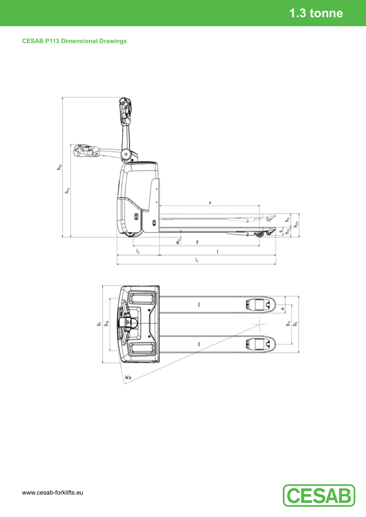**CESAB P113 Dimensional Drawings**